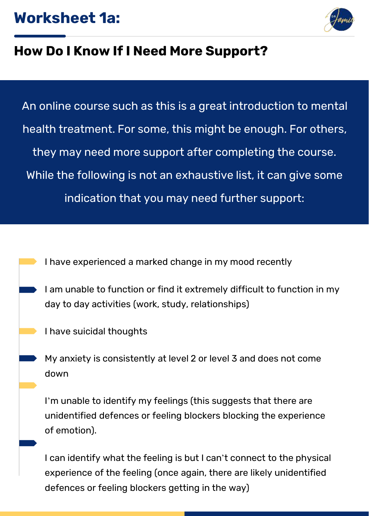## **Worksheet 1a:**



## **How Do I Know If I Need More Support?**

An online course such as this is a great introduction to mental health treatment. For some, this might be enough. For others, they may need more support after completing the course. While the following is not an exhaustive list, it can give some indication that you may need further support:

- I have experienced a marked change in my mood recently
- I am unable to function or find it extremely difficult to function in my day to day activities (work, study, relationships)
	- I have suicidal thoughts
	- My anxiety is consistently at level 2 or level 3 and does not come down

I'm unable to identify my feelings (this suggests that there are unidentified defences or feeling blockers blocking the experience of emotion).

I can identify what the feeling is but I can't connect to the physical experience of the feeling (once again, there are likely unidentified defences or feeling blockers getting in the way)